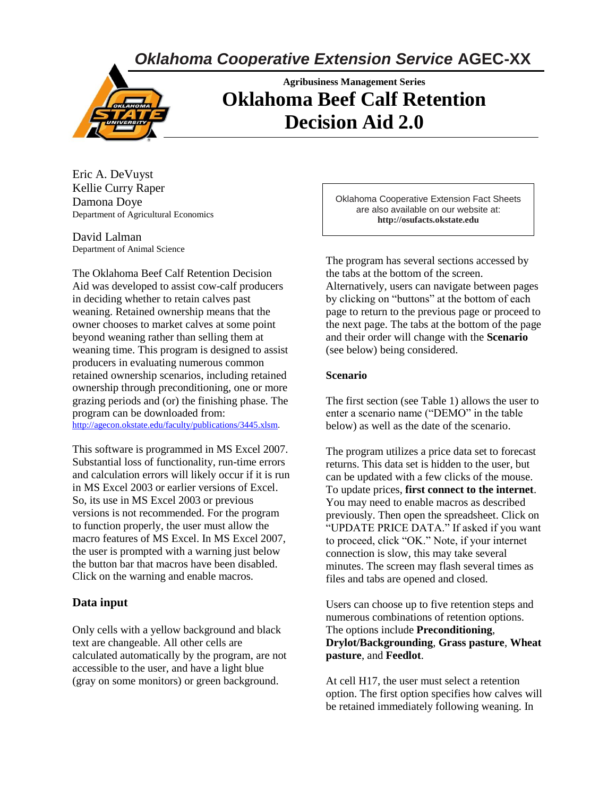*Oklahoma Cooperative Extension Service* **AGEC-XX**



# **Agribusiness Management Series Oklahoma Beef Calf Retention Decision Aid 2.0**

Eric A. DeVuyst Kellie Curry Raper Damona Doye Department of Agricultural Economics

David Lalman Department of Animal Science

The Oklahoma Beef Calf Retention Decision Aid was developed to assist cow-calf producers in deciding whether to retain calves past weaning. Retained ownership means that the owner chooses to market calves at some point beyond weaning rather than selling them at weaning time. This program is designed to assist producers in evaluating numerous common retained ownership scenarios, including retained ownership through preconditioning, one or more grazing periods and (or) the finishing phase. The program can be downloaded from: [http://agecon.okstate.edu/faculty/publications/3445.xlsm.](http://agecon.okstate.edu/faculty/publications/3445.xlsm)

This software is programmed in MS Excel 2007. Substantial loss of functionality, run-time errors and calculation errors will likely occur if it is run in MS Excel 2003 or earlier versions of Excel. So, its use in MS Excel 2003 or previous versions is not recommended. For the program to function properly, the user must allow the macro features of MS Excel. In MS Excel 2007, the user is prompted with a warning just below the button bar that macros have been disabled. Click on the warning and enable macros.

### **Data input**

Only cells with a yellow background and black text are changeable. All other cells are calculated automatically by the program, are not accessible to the user, and have a light blue (gray on some monitors) or green background.

Oklahoma Cooperative Extension Fact Sheets are also available on our website at: **http://osufacts.okstate.edu**

The program has several sections accessed by the tabs at the bottom of the screen. Alternatively, users can navigate between pages by clicking on "buttons" at the bottom of each page to return to the previous page or proceed to the next page. The tabs at the bottom of the page and their order will change with the **Scenario** (see below) being considered.

#### **Scenario**

The first section (see Table 1) allows the user to enter a scenario name ("DEMO" in the table below) as well as the date of the scenario.

The program utilizes a price data set to forecast returns. This data set is hidden to the user, but can be updated with a few clicks of the mouse. To update prices, **first connect to the internet**. You may need to enable macros as described previously. Then open the spreadsheet. Click on "UPDATE PRICE DATA." If asked if you want to proceed, click "OK." Note, if your internet connection is slow, this may take several minutes. The screen may flash several times as files and tabs are opened and closed.

Users can choose up to five retention steps and numerous combinations of retention options. The options include **Preconditioning**, **Drylot/Backgrounding**, **Grass pasture**, **Wheat pasture**, and **Feedlot**.

At cell H17, the user must select a retention option. The first option specifies how calves will be retained immediately following weaning. In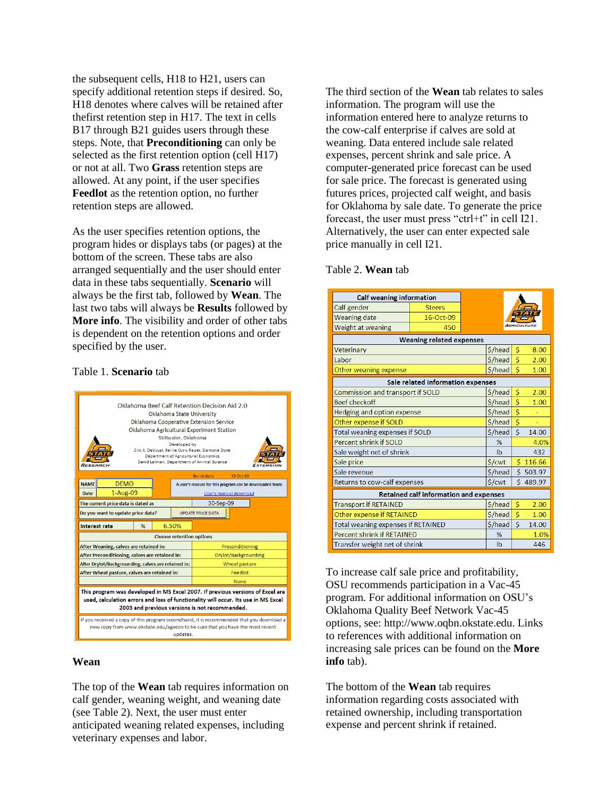the subsequent cells, H18 to H21, users can specify additional retention steps if desired. So, H18 denotes where calves will be retained after thefirst retention step in H17. The text in cells B17 through B21 guides users through these steps. Note, that **Preconditioning** can only be selected as the first retention option (cell H17) or not at all. Two **Grass** retention steps are allowed. At any point, if the user specifies **Feedlot** as the retention option, no further retention steps are allowed.

As the user specifies retention options, the program hides or displays tabs (or pages) at the bottom of the screen. These tabs are also arranged sequentially and the user should enter data in these tabs sequentially. **Scenario** will always be the first tab, followed by **Wean**. The last two tabs will always be **Results** followed by **More info**. The visibility and order of other tabs is dependent on the retention options and order specified by the user.

#### Table 1. **Scenario** tab



#### **Wean**

The top of the **Wean** tab requires information on calf gender, weaning weight, and weaning date (see Table 2). Next, the user must enter anticipated weaning related expenses, including veterinary expenses and labor.

The third section of the **Wean** tab relates to sales information. The program will use the information entered here to analyze returns to the cow-calf enterprise if calves are sold at weaning. Data entered include sale related expenses, percent shrink and sale price. A computer-generated price forecast can be used for sale price. The forecast is generated using futures prices, projected calf weight, and basis for Oklahoma by sale date. To generate the price forecast, the user must press "ctrl+t" in cell I21. Alternatively, the user can enter expected sale price manually in cell I21.

#### Table 2. **Wean** tab

| <b>Calf weaning information</b>           |                                               |         |       |          |  |  |  |  |  |  |  |
|-------------------------------------------|-----------------------------------------------|---------|-------|----------|--|--|--|--|--|--|--|
| Calf gender                               | <b>Steers</b>                                 |         |       |          |  |  |  |  |  |  |  |
| <b>Weaning date</b>                       |                                               |         |       |          |  |  |  |  |  |  |  |
| Weight at weaning                         |                                               |         |       |          |  |  |  |  |  |  |  |
| <b>Weaning related expenses</b>           |                                               |         |       |          |  |  |  |  |  |  |  |
| Veterinary                                | \$/head                                       | \$      | 8.00  |          |  |  |  |  |  |  |  |
| Labor                                     |                                               | \$/head | Ś     | 2.00     |  |  |  |  |  |  |  |
| Other weaning expense                     |                                               | \$/head | Ś     | 1.00     |  |  |  |  |  |  |  |
| Sale related information expenses         |                                               |         |       |          |  |  |  |  |  |  |  |
| Commission and transport if SOLD          | \$/head                                       | Ś       | 2.00  |          |  |  |  |  |  |  |  |
| <b>Beef checkoff</b>                      | \$/head                                       | Ś       | 1.00  |          |  |  |  |  |  |  |  |
| Hedging and option expense                | \$/head                                       | \$      |       |          |  |  |  |  |  |  |  |
| Other expense if SOLD                     | \$/head                                       | \$      |       |          |  |  |  |  |  |  |  |
| <b>Total weaning expenses if SOLD</b>     | \$/head                                       | Ś       | 14.00 |          |  |  |  |  |  |  |  |
| Percent shrink if SOLD                    |                                               | %       |       | 4.0%     |  |  |  |  |  |  |  |
| Sale weight net of shrink                 |                                               | Ib      |       | 432      |  |  |  |  |  |  |  |
| Sale price                                |                                               | \$/cwt  |       | \$116.66 |  |  |  |  |  |  |  |
| Sale revenue                              |                                               | \$/head |       | \$503.97 |  |  |  |  |  |  |  |
| Returns to cow-calf expenses              |                                               | \$/cwt  |       | \$489.97 |  |  |  |  |  |  |  |
|                                           | <b>Retained calf information and expenses</b> |         |       |          |  |  |  |  |  |  |  |
| <b>Transport if RETAINED</b>              |                                               | \$/head | \$    | 2.00     |  |  |  |  |  |  |  |
| <b>Other expense if RETAINED</b>          |                                               | \$/head | \$    | 1.00     |  |  |  |  |  |  |  |
| <b>Total weaning expenses if RETAINED</b> | \$/head                                       | Ś       | 14.00 |          |  |  |  |  |  |  |  |
| <b>Percent shrink if RETAINED</b>         | %                                             |         | 1.0%  |          |  |  |  |  |  |  |  |
| Transfer weight net of shrink             |                                               | Ib      |       | 446      |  |  |  |  |  |  |  |

To increase calf sale price and profitability, OSU recommends participation in a Vac-45 program. For additional information on OSU's Oklahoma Quality Beef Network Vac-45 options, see: http://www.oqbn.okstate.edu. Links to references with additional information on increasing sale prices can be found on the **More info** tab).

The bottom of the **Wean** tab requires information regarding costs associated with retained ownership, including transportation expense and percent shrink if retained.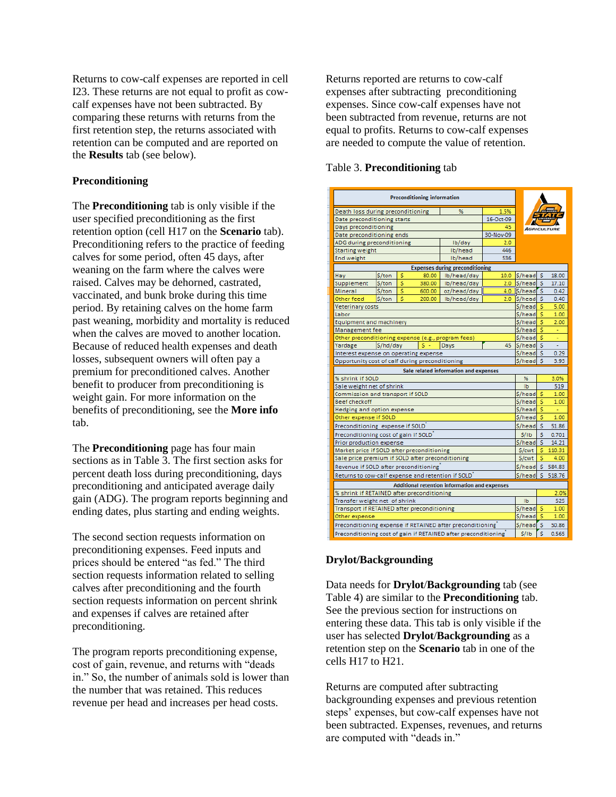Returns to cow-calf expenses are reported in cell I23. These returns are not equal to profit as cowcalf expenses have not been subtracted. By comparing these returns with returns from the first retention step, the returns associated with retention can be computed and are reported on the **Results** tab (see below).

#### **Preconditioning**

The **Preconditioning** tab is only visible if the user specified preconditioning as the first retention option (cell H17 on the **Scenario** tab). Preconditioning refers to the practice of feeding calves for some period, often 45 days, after weaning on the farm where the calves were raised. Calves may be dehorned, castrated, vaccinated, and bunk broke during this time period. By retaining calves on the home farm past weaning, morbidity and mortality is reduced when the calves are moved to another location. Because of reduced health expenses and death losses, subsequent owners will often pay a premium for preconditioned calves. Another benefit to producer from preconditioning is weight gain. For more information on the benefits of preconditioning, see the **More info** tab.

The **Preconditioning** page has four main sections as in Table 3. The first section asks for percent death loss during preconditioning, days preconditioning and anticipated average daily gain (ADG). The program reports beginning and ending dates, plus starting and ending weights.

The second section requests information on preconditioning expenses. Feed inputs and prices should be entered "as fed." The third section requests information related to selling calves after preconditioning and the fourth section requests information on percent shrink and expenses if calves are retained after preconditioning.

The program reports preconditioning expense, cost of gain, revenue, and returns with "deads in." So, the number of animals sold is lower than the number that was retained. This reduces revenue per head and increases per head costs.

Returns reported are returns to cow-calf expenses after subtracting preconditioning expenses. Since cow-calf expenses have not been subtracted from revenue, returns are not equal to profits. Returns to cow-calf expenses are needed to compute the value of retention.

#### Table 3. **Preconditioning** tab

| <b>Preconditioning information</b>                                                                        |                                                    |        |        |                                                                |                  |                  |     |        |
|-----------------------------------------------------------------------------------------------------------|----------------------------------------------------|--------|--------|----------------------------------------------------------------|------------------|------------------|-----|--------|
| Death loss during preconditioning                                                                         | 1.5%                                               |        |        |                                                                |                  |                  |     |        |
| Date preconditioning starts                                                                               | 16-Oct-09                                          |        |        |                                                                |                  |                  |     |        |
| Days preconditioning<br>45                                                                                |                                                    |        |        |                                                                |                  |                  |     |        |
| Date preconditioning ends                                                                                 |                                                    |        |        |                                                                | 30-Nov-09        |                  |     |        |
| ADG during preconditioning                                                                                |                                                    |        |        | Ib/day                                                         | 2.0              |                  |     |        |
| <b>Starting weight</b>                                                                                    |                                                    |        |        | Ib/head                                                        | 446              |                  |     |        |
| End weight                                                                                                |                                                    |        |        | Ib/head                                                        | 536              |                  |     |        |
|                                                                                                           |                                                    |        |        | <b>Expenses during preconditioning</b>                         |                  |                  |     |        |
| Hay                                                                                                       | \$/ton                                             | \$     | 80.00  | Ib/head/day                                                    | 10.0             | S/head           | -S  | 18.00  |
| Supplement                                                                                                | \$/ton                                             | \$     | 380.00 | Ib/head/day                                                    | 2.0 <sub>1</sub> | \$/head          | -S  | 17.10  |
| Mineral                                                                                                   | S/ton                                              | Ś      | 600.00 | oz/head/day                                                    |                  | 4.0 S/head       | r s | 0.42   |
| Other feed                                                                                                | S/ton                                              | Ś      | 200.00 | Ib/head/day                                                    | 2.0              | S/head           | -S  | 0.40   |
| Veterinary costs                                                                                          |                                                    |        |        |                                                                |                  | S/head           | s   | 5.00   |
| Labor                                                                                                     |                                                    |        |        |                                                                |                  | S/head           | Ś   | 1.00   |
| Equipment and machinery                                                                                   |                                                    |        |        |                                                                |                  | S/head           | s   | 2.00   |
| Management fee                                                                                            |                                                    |        |        |                                                                |                  | S/head           | Ś   | ÷.     |
|                                                                                                           | Other preconditioning expense (e.g., program fees) |        |        |                                                                |                  |                  |     |        |
| Yardage                                                                                                   | S/hd/day                                           | S/head | -S     |                                                                |                  |                  |     |        |
| S/head<br>Interest expense on operating expense                                                           |                                                    |        |        |                                                                |                  |                  |     | 0.29   |
| Opportunity cost of calf during preconditioning<br>S/head<br>-S                                           |                                                    |        |        |                                                                |                  |                  |     | 3.93   |
|                                                                                                           |                                                    |        |        | Sale related information and expenses                          |                  |                  |     |        |
| % shrink if SOLD                                                                                          |                                                    |        |        |                                                                |                  | %                |     | 3.0%   |
| Sale weight net of shrink                                                                                 |                                                    |        |        |                                                                |                  | Ib               |     | 519    |
| Commission and transport if SOLD                                                                          |                                                    |        |        |                                                                |                  | S/head           | \$  | 1.00   |
| <b>Beef checkoff</b>                                                                                      |                                                    |        |        |                                                                |                  | \$/head          | s   | 1.00   |
| Hedging and option expense                                                                                |                                                    |        |        |                                                                |                  | S/head           | Ś   | u      |
| Other expense if SOLD                                                                                     |                                                    |        |        |                                                                |                  | S/head           | \$  | 1.00   |
| Preconditioning expense if SOLD                                                                           |                                                    |        |        |                                                                |                  | \$/head          | \$  | 51.86  |
| Preconditioning cost of gain if SOLD                                                                      |                                                    |        |        |                                                                |                  | S/1b             | Ś   | 0.701  |
| Prior production expense                                                                                  |                                                    |        |        |                                                                |                  | S/head           | \$  | 14.21  |
| Market price if SOLD after preconditioning                                                                |                                                    |        |        |                                                                |                  | S/cwt            | Ś   | 110.31 |
| Sale price premium if SOLD after preconditioning                                                          |                                                    |        |        |                                                                |                  | \$/cwt           | s   | 4.00   |
| Revenue if SOLD after preconditioning                                                                     |                                                    |        |        |                                                                |                  | S/head           | s.  | 584.83 |
|                                                                                                           |                                                    |        |        |                                                                |                  | \$/head          | Ś   | 518.76 |
| Returns to cow-calf expense and retention if SOLD<br><b>Additional retention information and expenses</b> |                                                    |        |        |                                                                |                  |                  |     |        |
| % shrink if RETAINED after preconditioning                                                                |                                                    |        |        |                                                                |                  |                  |     | 2.0%   |
| Transfer weight net of shrink                                                                             |                                                    |        |        |                                                                |                  | Ib               |     | 525    |
| Transport if RETAINED after preconditioning                                                               |                                                    |        |        |                                                                |                  | S/head           | s   | 1.00   |
| Other expense                                                                                             |                                                    |        |        |                                                                |                  | \$/head          | s   | 1.00   |
|                                                                                                           |                                                    |        |        | Preconditioning expense if RETAINED after preconditioning      |                  | \$/head          | r s | 50.86  |
|                                                                                                           |                                                    |        |        | Preconditioning cost of gain if RETAINED after preconditioning |                  | 5/1 <sub>b</sub> | ľs. | 0.565  |

## **Drylot/Backgrounding**

Data needs for **Drylot**/**Backgrounding** tab (see Table 4) are similar to the **Preconditioning** tab. See the previous section for instructions on entering these data. This tab is only visible if the user has selected **Drylot**/**Backgrounding** as a retention step on the **Scenario** tab in one of the cells H17 to H21.

Returns are computed after subtracting backgrounding expenses and previous retention steps' expenses, but cow-calf expenses have not been subtracted. Expenses, revenues, and returns are computed with "deads in."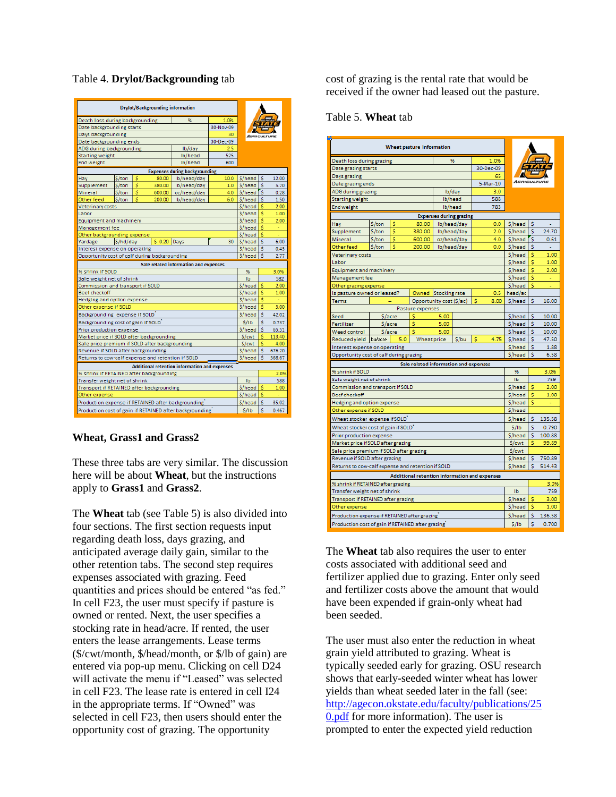| Death loss during backgrounding                    |                                            |        |          |                                                         |      |                     |              |        |  |  |  |  |
|----------------------------------------------------|--------------------------------------------|--------|----------|---------------------------------------------------------|------|---------------------|--------------|--------|--|--|--|--|
| Date backgrounding starts                          |                                            |        |          |                                                         |      |                     |              |        |  |  |  |  |
| Days backgrounding                                 |                                            |        |          |                                                         |      |                     |              |        |  |  |  |  |
|                                                    | 30<br>30-Dec-09<br>Date backgrounding ends |        |          |                                                         |      |                     |              |        |  |  |  |  |
| ADG during backgrounding                           |                                            |        |          | Ib/day                                                  | 2.5  |                     |              |        |  |  |  |  |
| <b>Starting weight</b>                             |                                            |        |          | Ib/head                                                 | 525  |                     |              |        |  |  |  |  |
| <b>End weight</b>                                  |                                            |        |          | Ib/head                                                 | 600  |                     |              |        |  |  |  |  |
|                                                    | <b>Expenses during backgrounding</b>       |        |          |                                                         |      |                     |              |        |  |  |  |  |
| Hav                                                | \$/ton                                     | s      | 80.00    | Ib/head/day                                             | 10.0 | S/head S            |              | 12.00  |  |  |  |  |
| Supplement                                         | S/ton                                      | Ś      | 380.00   | Ib/head/day                                             | 1.0  | S/head              | -S           | 5.70   |  |  |  |  |
| <b>Mineral</b>                                     | \$/ton                                     | Ś      | 600.00   | oz/head/day                                             | 4.0  | S/head <sup>5</sup> |              | 0.28   |  |  |  |  |
| Other feed                                         | \$/ton                                     | s      | 200.00   | Ib/head/day                                             | 6.0  | S/head S            |              | 1.50   |  |  |  |  |
| <b>Veterinary costs</b>                            |                                            |        |          |                                                         |      | S/head              | s            | 2.00   |  |  |  |  |
| Labor                                              |                                            |        |          |                                                         |      | S/head              | <b>S</b>     | 1.00   |  |  |  |  |
| Equipment and machinery                            |                                            |        |          |                                                         |      | S/head              | -S           | 2.00   |  |  |  |  |
| Management fee                                     |                                            |        |          |                                                         |      | S/head              | -S           |        |  |  |  |  |
| Other backgrounding expense                        |                                            |        | $S$ 0.20 |                                                         |      | S/head              | -S           | ٠      |  |  |  |  |
| Yardage                                            | S/head S                                   |        | 6.00     |                                                         |      |                     |              |        |  |  |  |  |
| Interest expense on operating                      | $S/head$ $S$                               |        | 0.43     |                                                         |      |                     |              |        |  |  |  |  |
| Opportunity cost of calf during backgrounding      |                                            |        |          |                                                         |      | S/head              | -S           | 2.77   |  |  |  |  |
|                                                    |                                            |        |          | Sale related information and expenses                   |      |                     |              |        |  |  |  |  |
| % shrink if SOLD                                   |                                            |        |          |                                                         |      | %                   |              | 3.0%   |  |  |  |  |
| Sale weight net of shrink                          |                                            |        |          |                                                         |      | <b>Ib</b>           |              | 582    |  |  |  |  |
| Commission and transport if SOLD                   |                                            |        |          |                                                         |      | S/head              | Ś            | 2.00   |  |  |  |  |
| <b>Beef checkoff</b>                               |                                            |        |          |                                                         |      | S/head              | -S           | 1.00   |  |  |  |  |
| Hedging and option expense                         |                                            |        |          |                                                         |      | S/head              | -S           |        |  |  |  |  |
| Other expense if SOLD                              |                                            |        |          |                                                         |      | \$/head             | \$           | 5.00   |  |  |  |  |
| Backgrounding expense if SOLD                      |                                            |        |          |                                                         |      | S/head              | \$           | 42.02  |  |  |  |  |
| Backgrounding cost of gain if SOLD                 |                                            |        |          |                                                         |      | S/1b                | Ś            | 0.737  |  |  |  |  |
| Prior production expense                           |                                            |        |          |                                                         |      | S/head              | <b>S</b>     | 65.51  |  |  |  |  |
| Market price if SOLD after backgrounding           |                                            |        |          |                                                         |      | \$/cwt              | Ś            | 113.40 |  |  |  |  |
| Sale price premium if SOLD after backgrounding     |                                            |        |          |                                                         |      | S/cwt               | Ś            | 4.00   |  |  |  |  |
| Revenue if SOLD after backgrounding                |                                            |        |          |                                                         |      | S/head              | -S           | 676.20 |  |  |  |  |
| Returns to cow-calf expense and retention if SOLD  |                                            | S/head | -S       | 568.67                                                  |      |                     |              |        |  |  |  |  |
|                                                    |                                            |        |          | Additional retention information and expenses           |      |                     |              |        |  |  |  |  |
| % shrink if RETAINED after backgrounding           |                                            |        | 2.0%     |                                                         |      |                     |              |        |  |  |  |  |
| Transfer weight net of shrink                      |                                            | Ib     |          | 588                                                     |      |                     |              |        |  |  |  |  |
| Transport if RETAINED after backgrounding          |                                            |        |          |                                                         |      | S/head              | \$           | 1.00   |  |  |  |  |
| Other expense                                      |                                            |        |          |                                                         |      | \$/head             | s            | ٠      |  |  |  |  |
| Production expense if RETAINED after backgrounding |                                            |        |          |                                                         |      | S/head              | <b>S</b>     | 35.02  |  |  |  |  |
|                                                    |                                            |        |          | Production cost of gain if RETAINED after backgrounding |      | S/1b                | $\mathsf{s}$ | 0.467  |  |  |  |  |

### Table 4. **Drylot/Backgrounding** tab

### **Wheat, Grass1 and Grass2**

These three tabs are very similar. The discussion here will be about **Wheat**, but the instructions apply to **Grass1** and **Grass2**.

The **Wheat** tab (see Table 5) is also divided into four sections. The first section requests input regarding death loss, days grazing, and anticipated average daily gain, similar to the other retention tabs. The second step requires expenses associated with grazing. Feed quantities and prices should be entered "as fed." In cell F23, the user must specify if pasture is owned or rented. Next, the user specifies a stocking rate in head/acre. If rented, the user enters the lease arrangements. Lease terms (\$/cwt/month, \$/head/month, or \$/lb of gain) are entered via pop-up menu. Clicking on cell D24 will activate the menu if "Leased" was selected in cell F23. The lease rate is entered in cell I24 in the appropriate terms. If "Owned" was selected in cell F23, then users should enter the opportunity cost of grazing. The opportunity

cost of grazing is the rental rate that would be received if the owner had leased out the pasture.

#### Table 5. **Wheat** tab

| 96<br>1.0%<br>Death loss during grazing<br>30-Dec-09<br>Date grazing starts<br>65<br>Days grazing<br>AGRICUL<br>5-Mar-10<br>Date grazing ends<br>Ib/day<br>ADG during grazing<br>3.0<br>Ib/head<br>Starting weight<br>588<br>Ib/head<br>783<br><b>End weight</b><br><b>Expenses during grazing</b><br>\$/head<br>\$/ton<br>s<br>Ib/head/day<br>s<br>Hav<br>80.00<br>0.0<br>Ś<br>Supplement<br>\$/ton<br>380.00<br>Ib/head/day<br>S/head<br>s<br>24.70<br>2.0<br>Ś<br>'S<br>Mineral<br>S/ton<br>600.00<br>oz/head/day<br>4.0<br>S/head<br>0.61<br>Ś<br>\$/head<br>s<br>Other feed<br>\$/ton<br>200.00<br>Ib/head/day<br>0.0<br>L.<br>S/head<br>Ś<br>1.00<br>Veterinary costs<br>\$/head<br>s<br>1.00<br>Labor<br>S/head<br>Ś<br>2.00<br>Equipment and machinery<br>\$/head<br>Management fee<br>s<br>÷<br>\$/head<br>s<br>Other grazing expense<br>Stocking rate<br>head/ac<br>Is pasture owned or leased?<br>Owned<br>0.5<br>\$/head<br>Opportunity cost (\$/ac)<br>\$<br>\$<br>Terms<br>8.00<br>16.00<br>Pasture expenses<br>\$/head<br>Ś<br>Seed<br>S/acre<br>Ś<br>5.00<br>10.00<br>Ś<br>S/head<br>Ś<br>Fertilizer<br>S/acre<br>5.00<br>10.00<br>Weed control<br>Ś<br>5.00<br>S/head<br>s<br>10.00<br>S/acre<br>Ś<br>bułacre<br>5.0<br>Wheat price<br>S/bu<br>Ś<br>4.75<br>\$/head<br>47.50<br>Reduced yield<br>S/head<br>s<br>1.88<br>Interest expense on operating<br>Ś<br>Opportunity cost of calf during grazing<br>S/head<br>6.58<br>Sale related information and expenses<br>% shrink if SOLD<br>96<br>3.0%<br>Sale weight net of shrink<br>IЬ<br>759<br>S/head<br>Commission and transport if SOLD<br>s<br>2.00<br>S/head<br><b>Beef checkoff</b><br>s<br>1.00<br>\$/head<br>Ś<br>Hedging and option expense<br>Other expense if SOLD<br>S/head<br>Wheat stocker  expense if SOLD $^{"}$<br>S/head<br>Ś<br>135.58<br>Wheat stocker cost of gain if SOLD <sup>"</sup><br>Ś<br>S/IB<br>0.790<br>S/head<br>s<br>100.88<br>Prior production expense<br>S/cwt<br>Market price if SOLD after grazing<br>Ś<br>99.89<br>\$/cwt<br>Sale price premium if SOLD after grazing<br>Revenue if SOLD after grazing<br>S/head<br>\$<br>750.89<br>\$/head<br>s<br>Returns to cow-calf expense and retention if SOLD<br>514.43<br>Additional retention information and expenses<br>% shrink if RETAINED after grazing<br>3.0%<br>759<br>Transfer weight net of shrink<br>Ib<br>\$/head<br>Transport if RETAINED after grazing<br>s<br>3.00<br>Ś<br>S/head<br>Other expense<br>1.00<br>s<br>136.58<br>Production expense if RETAINED after grazing<br>S/head<br>Production cost of gain if RETAINED after grazing | Wheat pasture information |  |  |  |  |  |  |  |      |   |       |
|---------------------------------------------------------------------------------------------------------------------------------------------------------------------------------------------------------------------------------------------------------------------------------------------------------------------------------------------------------------------------------------------------------------------------------------------------------------------------------------------------------------------------------------------------------------------------------------------------------------------------------------------------------------------------------------------------------------------------------------------------------------------------------------------------------------------------------------------------------------------------------------------------------------------------------------------------------------------------------------------------------------------------------------------------------------------------------------------------------------------------------------------------------------------------------------------------------------------------------------------------------------------------------------------------------------------------------------------------------------------------------------------------------------------------------------------------------------------------------------------------------------------------------------------------------------------------------------------------------------------------------------------------------------------------------------------------------------------------------------------------------------------------------------------------------------------------------------------------------------------------------------------------------------------------------------------------------------------------------------------------------------------------------------------------------------------------------------------------------------------------------------------------------------------------------------------------------------------------------------------------------------------------------------------------------------------------------------------------------------------------------------------------------------------------------------------------------------------------------------------------------------------------------------------------------------------------------------------------------|---------------------------|--|--|--|--|--|--|--|------|---|-------|
|                                                                                                                                                                                                                                                                                                                                                                                                                                                                                                                                                                                                                                                                                                                                                                                                                                                                                                                                                                                                                                                                                                                                                                                                                                                                                                                                                                                                                                                                                                                                                                                                                                                                                                                                                                                                                                                                                                                                                                                                                                                                                                                                                                                                                                                                                                                                                                                                                                                                                                                                                                                                         |                           |  |  |  |  |  |  |  |      |   |       |
|                                                                                                                                                                                                                                                                                                                                                                                                                                                                                                                                                                                                                                                                                                                                                                                                                                                                                                                                                                                                                                                                                                                                                                                                                                                                                                                                                                                                                                                                                                                                                                                                                                                                                                                                                                                                                                                                                                                                                                                                                                                                                                                                                                                                                                                                                                                                                                                                                                                                                                                                                                                                         |                           |  |  |  |  |  |  |  |      |   |       |
|                                                                                                                                                                                                                                                                                                                                                                                                                                                                                                                                                                                                                                                                                                                                                                                                                                                                                                                                                                                                                                                                                                                                                                                                                                                                                                                                                                                                                                                                                                                                                                                                                                                                                                                                                                                                                                                                                                                                                                                                                                                                                                                                                                                                                                                                                                                                                                                                                                                                                                                                                                                                         |                           |  |  |  |  |  |  |  |      |   |       |
|                                                                                                                                                                                                                                                                                                                                                                                                                                                                                                                                                                                                                                                                                                                                                                                                                                                                                                                                                                                                                                                                                                                                                                                                                                                                                                                                                                                                                                                                                                                                                                                                                                                                                                                                                                                                                                                                                                                                                                                                                                                                                                                                                                                                                                                                                                                                                                                                                                                                                                                                                                                                         |                           |  |  |  |  |  |  |  |      |   |       |
|                                                                                                                                                                                                                                                                                                                                                                                                                                                                                                                                                                                                                                                                                                                                                                                                                                                                                                                                                                                                                                                                                                                                                                                                                                                                                                                                                                                                                                                                                                                                                                                                                                                                                                                                                                                                                                                                                                                                                                                                                                                                                                                                                                                                                                                                                                                                                                                                                                                                                                                                                                                                         |                           |  |  |  |  |  |  |  |      |   |       |
|                                                                                                                                                                                                                                                                                                                                                                                                                                                                                                                                                                                                                                                                                                                                                                                                                                                                                                                                                                                                                                                                                                                                                                                                                                                                                                                                                                                                                                                                                                                                                                                                                                                                                                                                                                                                                                                                                                                                                                                                                                                                                                                                                                                                                                                                                                                                                                                                                                                                                                                                                                                                         |                           |  |  |  |  |  |  |  |      |   |       |
|                                                                                                                                                                                                                                                                                                                                                                                                                                                                                                                                                                                                                                                                                                                                                                                                                                                                                                                                                                                                                                                                                                                                                                                                                                                                                                                                                                                                                                                                                                                                                                                                                                                                                                                                                                                                                                                                                                                                                                                                                                                                                                                                                                                                                                                                                                                                                                                                                                                                                                                                                                                                         |                           |  |  |  |  |  |  |  |      |   |       |
|                                                                                                                                                                                                                                                                                                                                                                                                                                                                                                                                                                                                                                                                                                                                                                                                                                                                                                                                                                                                                                                                                                                                                                                                                                                                                                                                                                                                                                                                                                                                                                                                                                                                                                                                                                                                                                                                                                                                                                                                                                                                                                                                                                                                                                                                                                                                                                                                                                                                                                                                                                                                         |                           |  |  |  |  |  |  |  |      |   |       |
|                                                                                                                                                                                                                                                                                                                                                                                                                                                                                                                                                                                                                                                                                                                                                                                                                                                                                                                                                                                                                                                                                                                                                                                                                                                                                                                                                                                                                                                                                                                                                                                                                                                                                                                                                                                                                                                                                                                                                                                                                                                                                                                                                                                                                                                                                                                                                                                                                                                                                                                                                                                                         |                           |  |  |  |  |  |  |  |      |   |       |
|                                                                                                                                                                                                                                                                                                                                                                                                                                                                                                                                                                                                                                                                                                                                                                                                                                                                                                                                                                                                                                                                                                                                                                                                                                                                                                                                                                                                                                                                                                                                                                                                                                                                                                                                                                                                                                                                                                                                                                                                                                                                                                                                                                                                                                                                                                                                                                                                                                                                                                                                                                                                         |                           |  |  |  |  |  |  |  |      |   |       |
|                                                                                                                                                                                                                                                                                                                                                                                                                                                                                                                                                                                                                                                                                                                                                                                                                                                                                                                                                                                                                                                                                                                                                                                                                                                                                                                                                                                                                                                                                                                                                                                                                                                                                                                                                                                                                                                                                                                                                                                                                                                                                                                                                                                                                                                                                                                                                                                                                                                                                                                                                                                                         |                           |  |  |  |  |  |  |  |      |   |       |
|                                                                                                                                                                                                                                                                                                                                                                                                                                                                                                                                                                                                                                                                                                                                                                                                                                                                                                                                                                                                                                                                                                                                                                                                                                                                                                                                                                                                                                                                                                                                                                                                                                                                                                                                                                                                                                                                                                                                                                                                                                                                                                                                                                                                                                                                                                                                                                                                                                                                                                                                                                                                         |                           |  |  |  |  |  |  |  |      |   |       |
|                                                                                                                                                                                                                                                                                                                                                                                                                                                                                                                                                                                                                                                                                                                                                                                                                                                                                                                                                                                                                                                                                                                                                                                                                                                                                                                                                                                                                                                                                                                                                                                                                                                                                                                                                                                                                                                                                                                                                                                                                                                                                                                                                                                                                                                                                                                                                                                                                                                                                                                                                                                                         |                           |  |  |  |  |  |  |  |      |   |       |
|                                                                                                                                                                                                                                                                                                                                                                                                                                                                                                                                                                                                                                                                                                                                                                                                                                                                                                                                                                                                                                                                                                                                                                                                                                                                                                                                                                                                                                                                                                                                                                                                                                                                                                                                                                                                                                                                                                                                                                                                                                                                                                                                                                                                                                                                                                                                                                                                                                                                                                                                                                                                         |                           |  |  |  |  |  |  |  |      |   |       |
|                                                                                                                                                                                                                                                                                                                                                                                                                                                                                                                                                                                                                                                                                                                                                                                                                                                                                                                                                                                                                                                                                                                                                                                                                                                                                                                                                                                                                                                                                                                                                                                                                                                                                                                                                                                                                                                                                                                                                                                                                                                                                                                                                                                                                                                                                                                                                                                                                                                                                                                                                                                                         |                           |  |  |  |  |  |  |  |      |   |       |
|                                                                                                                                                                                                                                                                                                                                                                                                                                                                                                                                                                                                                                                                                                                                                                                                                                                                                                                                                                                                                                                                                                                                                                                                                                                                                                                                                                                                                                                                                                                                                                                                                                                                                                                                                                                                                                                                                                                                                                                                                                                                                                                                                                                                                                                                                                                                                                                                                                                                                                                                                                                                         |                           |  |  |  |  |  |  |  |      |   |       |
|                                                                                                                                                                                                                                                                                                                                                                                                                                                                                                                                                                                                                                                                                                                                                                                                                                                                                                                                                                                                                                                                                                                                                                                                                                                                                                                                                                                                                                                                                                                                                                                                                                                                                                                                                                                                                                                                                                                                                                                                                                                                                                                                                                                                                                                                                                                                                                                                                                                                                                                                                                                                         |                           |  |  |  |  |  |  |  |      |   |       |
|                                                                                                                                                                                                                                                                                                                                                                                                                                                                                                                                                                                                                                                                                                                                                                                                                                                                                                                                                                                                                                                                                                                                                                                                                                                                                                                                                                                                                                                                                                                                                                                                                                                                                                                                                                                                                                                                                                                                                                                                                                                                                                                                                                                                                                                                                                                                                                                                                                                                                                                                                                                                         |                           |  |  |  |  |  |  |  |      |   |       |
|                                                                                                                                                                                                                                                                                                                                                                                                                                                                                                                                                                                                                                                                                                                                                                                                                                                                                                                                                                                                                                                                                                                                                                                                                                                                                                                                                                                                                                                                                                                                                                                                                                                                                                                                                                                                                                                                                                                                                                                                                                                                                                                                                                                                                                                                                                                                                                                                                                                                                                                                                                                                         |                           |  |  |  |  |  |  |  |      |   |       |
|                                                                                                                                                                                                                                                                                                                                                                                                                                                                                                                                                                                                                                                                                                                                                                                                                                                                                                                                                                                                                                                                                                                                                                                                                                                                                                                                                                                                                                                                                                                                                                                                                                                                                                                                                                                                                                                                                                                                                                                                                                                                                                                                                                                                                                                                                                                                                                                                                                                                                                                                                                                                         |                           |  |  |  |  |  |  |  |      |   |       |
|                                                                                                                                                                                                                                                                                                                                                                                                                                                                                                                                                                                                                                                                                                                                                                                                                                                                                                                                                                                                                                                                                                                                                                                                                                                                                                                                                                                                                                                                                                                                                                                                                                                                                                                                                                                                                                                                                                                                                                                                                                                                                                                                                                                                                                                                                                                                                                                                                                                                                                                                                                                                         |                           |  |  |  |  |  |  |  |      |   |       |
|                                                                                                                                                                                                                                                                                                                                                                                                                                                                                                                                                                                                                                                                                                                                                                                                                                                                                                                                                                                                                                                                                                                                                                                                                                                                                                                                                                                                                                                                                                                                                                                                                                                                                                                                                                                                                                                                                                                                                                                                                                                                                                                                                                                                                                                                                                                                                                                                                                                                                                                                                                                                         |                           |  |  |  |  |  |  |  |      |   |       |
|                                                                                                                                                                                                                                                                                                                                                                                                                                                                                                                                                                                                                                                                                                                                                                                                                                                                                                                                                                                                                                                                                                                                                                                                                                                                                                                                                                                                                                                                                                                                                                                                                                                                                                                                                                                                                                                                                                                                                                                                                                                                                                                                                                                                                                                                                                                                                                                                                                                                                                                                                                                                         |                           |  |  |  |  |  |  |  |      |   |       |
|                                                                                                                                                                                                                                                                                                                                                                                                                                                                                                                                                                                                                                                                                                                                                                                                                                                                                                                                                                                                                                                                                                                                                                                                                                                                                                                                                                                                                                                                                                                                                                                                                                                                                                                                                                                                                                                                                                                                                                                                                                                                                                                                                                                                                                                                                                                                                                                                                                                                                                                                                                                                         |                           |  |  |  |  |  |  |  |      |   |       |
|                                                                                                                                                                                                                                                                                                                                                                                                                                                                                                                                                                                                                                                                                                                                                                                                                                                                                                                                                                                                                                                                                                                                                                                                                                                                                                                                                                                                                                                                                                                                                                                                                                                                                                                                                                                                                                                                                                                                                                                                                                                                                                                                                                                                                                                                                                                                                                                                                                                                                                                                                                                                         |                           |  |  |  |  |  |  |  |      |   |       |
|                                                                                                                                                                                                                                                                                                                                                                                                                                                                                                                                                                                                                                                                                                                                                                                                                                                                                                                                                                                                                                                                                                                                                                                                                                                                                                                                                                                                                                                                                                                                                                                                                                                                                                                                                                                                                                                                                                                                                                                                                                                                                                                                                                                                                                                                                                                                                                                                                                                                                                                                                                                                         |                           |  |  |  |  |  |  |  |      |   |       |
|                                                                                                                                                                                                                                                                                                                                                                                                                                                                                                                                                                                                                                                                                                                                                                                                                                                                                                                                                                                                                                                                                                                                                                                                                                                                                                                                                                                                                                                                                                                                                                                                                                                                                                                                                                                                                                                                                                                                                                                                                                                                                                                                                                                                                                                                                                                                                                                                                                                                                                                                                                                                         |                           |  |  |  |  |  |  |  |      |   |       |
|                                                                                                                                                                                                                                                                                                                                                                                                                                                                                                                                                                                                                                                                                                                                                                                                                                                                                                                                                                                                                                                                                                                                                                                                                                                                                                                                                                                                                                                                                                                                                                                                                                                                                                                                                                                                                                                                                                                                                                                                                                                                                                                                                                                                                                                                                                                                                                                                                                                                                                                                                                                                         |                           |  |  |  |  |  |  |  |      |   |       |
|                                                                                                                                                                                                                                                                                                                                                                                                                                                                                                                                                                                                                                                                                                                                                                                                                                                                                                                                                                                                                                                                                                                                                                                                                                                                                                                                                                                                                                                                                                                                                                                                                                                                                                                                                                                                                                                                                                                                                                                                                                                                                                                                                                                                                                                                                                                                                                                                                                                                                                                                                                                                         |                           |  |  |  |  |  |  |  |      |   |       |
|                                                                                                                                                                                                                                                                                                                                                                                                                                                                                                                                                                                                                                                                                                                                                                                                                                                                                                                                                                                                                                                                                                                                                                                                                                                                                                                                                                                                                                                                                                                                                                                                                                                                                                                                                                                                                                                                                                                                                                                                                                                                                                                                                                                                                                                                                                                                                                                                                                                                                                                                                                                                         |                           |  |  |  |  |  |  |  |      |   |       |
|                                                                                                                                                                                                                                                                                                                                                                                                                                                                                                                                                                                                                                                                                                                                                                                                                                                                                                                                                                                                                                                                                                                                                                                                                                                                                                                                                                                                                                                                                                                                                                                                                                                                                                                                                                                                                                                                                                                                                                                                                                                                                                                                                                                                                                                                                                                                                                                                                                                                                                                                                                                                         |                           |  |  |  |  |  |  |  |      |   |       |
|                                                                                                                                                                                                                                                                                                                                                                                                                                                                                                                                                                                                                                                                                                                                                                                                                                                                                                                                                                                                                                                                                                                                                                                                                                                                                                                                                                                                                                                                                                                                                                                                                                                                                                                                                                                                                                                                                                                                                                                                                                                                                                                                                                                                                                                                                                                                                                                                                                                                                                                                                                                                         |                           |  |  |  |  |  |  |  |      |   |       |
|                                                                                                                                                                                                                                                                                                                                                                                                                                                                                                                                                                                                                                                                                                                                                                                                                                                                                                                                                                                                                                                                                                                                                                                                                                                                                                                                                                                                                                                                                                                                                                                                                                                                                                                                                                                                                                                                                                                                                                                                                                                                                                                                                                                                                                                                                                                                                                                                                                                                                                                                                                                                         |                           |  |  |  |  |  |  |  |      |   |       |
|                                                                                                                                                                                                                                                                                                                                                                                                                                                                                                                                                                                                                                                                                                                                                                                                                                                                                                                                                                                                                                                                                                                                                                                                                                                                                                                                                                                                                                                                                                                                                                                                                                                                                                                                                                                                                                                                                                                                                                                                                                                                                                                                                                                                                                                                                                                                                                                                                                                                                                                                                                                                         |                           |  |  |  |  |  |  |  |      |   |       |
|                                                                                                                                                                                                                                                                                                                                                                                                                                                                                                                                                                                                                                                                                                                                                                                                                                                                                                                                                                                                                                                                                                                                                                                                                                                                                                                                                                                                                                                                                                                                                                                                                                                                                                                                                                                                                                                                                                                                                                                                                                                                                                                                                                                                                                                                                                                                                                                                                                                                                                                                                                                                         |                           |  |  |  |  |  |  |  |      |   |       |
|                                                                                                                                                                                                                                                                                                                                                                                                                                                                                                                                                                                                                                                                                                                                                                                                                                                                                                                                                                                                                                                                                                                                                                                                                                                                                                                                                                                                                                                                                                                                                                                                                                                                                                                                                                                                                                                                                                                                                                                                                                                                                                                                                                                                                                                                                                                                                                                                                                                                                                                                                                                                         |                           |  |  |  |  |  |  |  |      |   |       |
|                                                                                                                                                                                                                                                                                                                                                                                                                                                                                                                                                                                                                                                                                                                                                                                                                                                                                                                                                                                                                                                                                                                                                                                                                                                                                                                                                                                                                                                                                                                                                                                                                                                                                                                                                                                                                                                                                                                                                                                                                                                                                                                                                                                                                                                                                                                                                                                                                                                                                                                                                                                                         |                           |  |  |  |  |  |  |  |      |   |       |
|                                                                                                                                                                                                                                                                                                                                                                                                                                                                                                                                                                                                                                                                                                                                                                                                                                                                                                                                                                                                                                                                                                                                                                                                                                                                                                                                                                                                                                                                                                                                                                                                                                                                                                                                                                                                                                                                                                                                                                                                                                                                                                                                                                                                                                                                                                                                                                                                                                                                                                                                                                                                         |                           |  |  |  |  |  |  |  |      |   |       |
|                                                                                                                                                                                                                                                                                                                                                                                                                                                                                                                                                                                                                                                                                                                                                                                                                                                                                                                                                                                                                                                                                                                                                                                                                                                                                                                                                                                                                                                                                                                                                                                                                                                                                                                                                                                                                                                                                                                                                                                                                                                                                                                                                                                                                                                                                                                                                                                                                                                                                                                                                                                                         |                           |  |  |  |  |  |  |  |      |   |       |
|                                                                                                                                                                                                                                                                                                                                                                                                                                                                                                                                                                                                                                                                                                                                                                                                                                                                                                                                                                                                                                                                                                                                                                                                                                                                                                                                                                                                                                                                                                                                                                                                                                                                                                                                                                                                                                                                                                                                                                                                                                                                                                                                                                                                                                                                                                                                                                                                                                                                                                                                                                                                         |                           |  |  |  |  |  |  |  |      |   |       |
|                                                                                                                                                                                                                                                                                                                                                                                                                                                                                                                                                                                                                                                                                                                                                                                                                                                                                                                                                                                                                                                                                                                                                                                                                                                                                                                                                                                                                                                                                                                                                                                                                                                                                                                                                                                                                                                                                                                                                                                                                                                                                                                                                                                                                                                                                                                                                                                                                                                                                                                                                                                                         |                           |  |  |  |  |  |  |  |      |   |       |
|                                                                                                                                                                                                                                                                                                                                                                                                                                                                                                                                                                                                                                                                                                                                                                                                                                                                                                                                                                                                                                                                                                                                                                                                                                                                                                                                                                                                                                                                                                                                                                                                                                                                                                                                                                                                                                                                                                                                                                                                                                                                                                                                                                                                                                                                                                                                                                                                                                                                                                                                                                                                         |                           |  |  |  |  |  |  |  |      |   |       |
|                                                                                                                                                                                                                                                                                                                                                                                                                                                                                                                                                                                                                                                                                                                                                                                                                                                                                                                                                                                                                                                                                                                                                                                                                                                                                                                                                                                                                                                                                                                                                                                                                                                                                                                                                                                                                                                                                                                                                                                                                                                                                                                                                                                                                                                                                                                                                                                                                                                                                                                                                                                                         |                           |  |  |  |  |  |  |  |      |   |       |
|                                                                                                                                                                                                                                                                                                                                                                                                                                                                                                                                                                                                                                                                                                                                                                                                                                                                                                                                                                                                                                                                                                                                                                                                                                                                                                                                                                                                                                                                                                                                                                                                                                                                                                                                                                                                                                                                                                                                                                                                                                                                                                                                                                                                                                                                                                                                                                                                                                                                                                                                                                                                         |                           |  |  |  |  |  |  |  |      |   |       |
|                                                                                                                                                                                                                                                                                                                                                                                                                                                                                                                                                                                                                                                                                                                                                                                                                                                                                                                                                                                                                                                                                                                                                                                                                                                                                                                                                                                                                                                                                                                                                                                                                                                                                                                                                                                                                                                                                                                                                                                                                                                                                                                                                                                                                                                                                                                                                                                                                                                                                                                                                                                                         |                           |  |  |  |  |  |  |  |      |   |       |
|                                                                                                                                                                                                                                                                                                                                                                                                                                                                                                                                                                                                                                                                                                                                                                                                                                                                                                                                                                                                                                                                                                                                                                                                                                                                                                                                                                                                                                                                                                                                                                                                                                                                                                                                                                                                                                                                                                                                                                                                                                                                                                                                                                                                                                                                                                                                                                                                                                                                                                                                                                                                         |                           |  |  |  |  |  |  |  |      |   |       |
|                                                                                                                                                                                                                                                                                                                                                                                                                                                                                                                                                                                                                                                                                                                                                                                                                                                                                                                                                                                                                                                                                                                                                                                                                                                                                                                                                                                                                                                                                                                                                                                                                                                                                                                                                                                                                                                                                                                                                                                                                                                                                                                                                                                                                                                                                                                                                                                                                                                                                                                                                                                                         |                           |  |  |  |  |  |  |  |      |   |       |
|                                                                                                                                                                                                                                                                                                                                                                                                                                                                                                                                                                                                                                                                                                                                                                                                                                                                                                                                                                                                                                                                                                                                                                                                                                                                                                                                                                                                                                                                                                                                                                                                                                                                                                                                                                                                                                                                                                                                                                                                                                                                                                                                                                                                                                                                                                                                                                                                                                                                                                                                                                                                         |                           |  |  |  |  |  |  |  | S/IB | ś | 0.700 |

The **Wheat** tab also requires the user to enter costs associated with additional seed and fertilizer applied due to grazing. Enter only seed and fertilizer costs above the amount that would have been expended if grain-only wheat had been seeded.

The user must also enter the reduction in wheat grain yield attributed to grazing. Wheat is typically seeded early for grazing. OSU research shows that early-seeded winter wheat has lower yields than wheat seeded later in the fall (see: [http://agecon.okstate.edu/faculty/publications/25](http://agecon.okstate.edu/faculty/publications/250.pdf) [0.pdf](http://agecon.okstate.edu/faculty/publications/250.pdf) for more information). The user is prompted to enter the expected yield reduction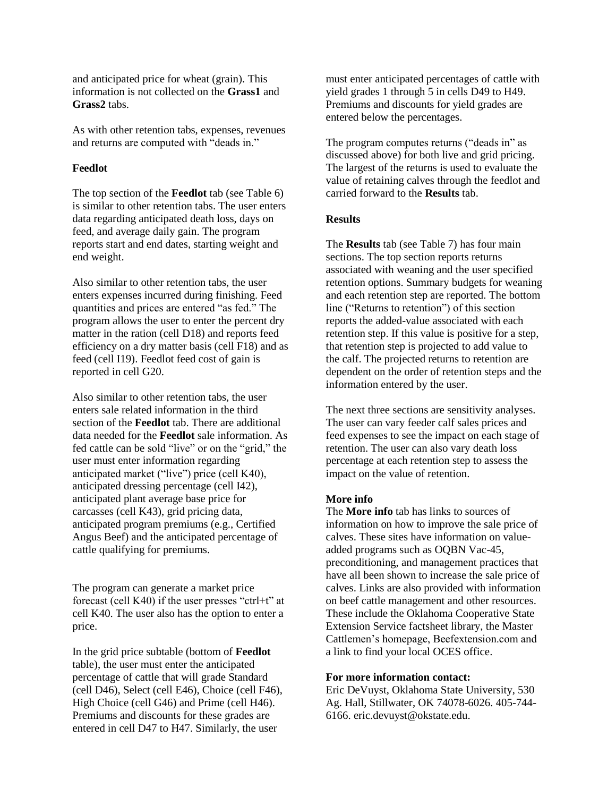and anticipated price for wheat (grain). This information is not collected on the **Grass1** and **Grass2** tabs.

As with other retention tabs, expenses, revenues and returns are computed with "deads in."

## **Feedlot**

The top section of the **Feedlot** tab (see Table 6) is similar to other retention tabs. The user enters data regarding anticipated death loss, days on feed, and average daily gain. The program reports start and end dates, starting weight and end weight.

Also similar to other retention tabs, the user enters expenses incurred during finishing. Feed quantities and prices are entered "as fed." The program allows the user to enter the percent dry matter in the ration (cell D18) and reports feed efficiency on a dry matter basis (cell F18) and as feed (cell I19). Feedlot feed cost of gain is reported in cell G20.

Also similar to other retention tabs, the user enters sale related information in the third section of the **Feedlot** tab. There are additional data needed for the **Feedlot** sale information. As fed cattle can be sold "live" or on the "grid," the user must enter information regarding anticipated market ("live") price (cell K40), anticipated dressing percentage (cell I42), anticipated plant average base price for carcasses (cell K43), grid pricing data, anticipated program premiums (e.g., Certified Angus Beef) and the anticipated percentage of cattle qualifying for premiums.

The program can generate a market price forecast (cell K40) if the user presses "ctrl+t" at cell K40. The user also has the option to enter a price.

In the grid price subtable (bottom of **Feedlot** table), the user must enter the anticipated percentage of cattle that will grade Standard (cell D46), Select (cell E46), Choice (cell F46), High Choice (cell G46) and Prime (cell H46). Premiums and discounts for these grades are entered in cell D47 to H47. Similarly, the user

must enter anticipated percentages of cattle with yield grades 1 through 5 in cells D49 to H49. Premiums and discounts for yield grades are entered below the percentages.

The program computes returns ("deads in" as discussed above) for both live and grid pricing. The largest of the returns is used to evaluate the value of retaining calves through the feedlot and carried forward to the **Results** tab.

# **Results**

The **Results** tab (see Table 7) has four main sections. The top section reports returns associated with weaning and the user specified retention options. Summary budgets for weaning and each retention step are reported. The bottom line ("Returns to retention") of this section reports the added-value associated with each retention step. If this value is positive for a step, that retention step is projected to add value to the calf. The projected returns to retention are dependent on the order of retention steps and the information entered by the user.

The next three sections are sensitivity analyses. The user can vary feeder calf sales prices and feed expenses to see the impact on each stage of retention. The user can also vary death loss percentage at each retention step to assess the impact on the value of retention.

# **More info**

The **More info** tab has links to sources of information on how to improve the sale price of calves. These sites have information on valueadded programs such as OQBN Vac-45, preconditioning, and management practices that have all been shown to increase the sale price of calves. Links are also provided with information on beef cattle management and other resources. These include the Oklahoma Cooperative State Extension Service factsheet library, the Master Cattlemen's homepage, Beefextension.com and a link to find your local OCES office.

### **For more information contact:**

Eric DeVuyst, Oklahoma State University, 530 Ag. Hall, Stillwater, OK 74078-6026. 405-744- 6166. eric.devuyst@okstate.edu.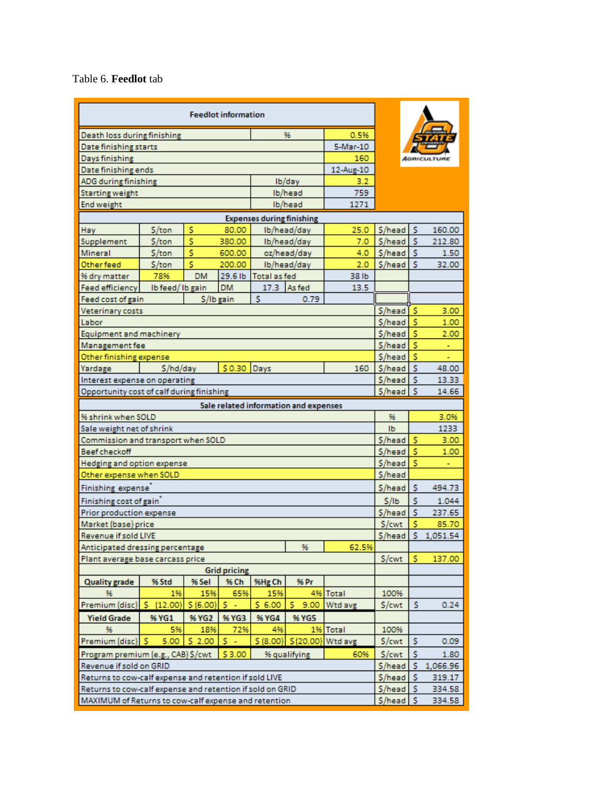Table 6. **Feedlot** tab

| 0.5%<br>Death loss during finishing<br>96<br>5-Mar-10<br>Date finishing starts<br>160<br>Days finishing<br>Date finishing ends<br>12-Aug-10<br>Ib/day<br>ADG during finishing<br>3.2<br>Ib/head<br>Starting weight<br>759<br>Ib/head<br>1271<br><b>End weight</b><br><b>Expenses during finishing</b><br>\$<br>\$/head<br>s<br>\$/ton<br>80.00<br>Ib/head/day<br>25.0<br>160.00<br>Hay<br>Ś<br>S/head<br>s<br>\$/ton<br>380.00<br>Ib/head/day<br>212.80<br>Supplement<br>7.0<br>\$<br>\$/head<br>Mineral<br>\$/ton<br>600.00<br>oz/head/day<br>4.0<br>-S<br>1.50<br>Ś<br>\$/head<br>-S<br>Other feed<br>\$/ton<br>200.00<br>Ib/head/day<br>2.0<br>32.00<br>78%<br>29.6 lb<br>Total as fed<br>38 lb<br>% dry matter<br>DM<br><b>DM</b><br>17.3<br>As fed<br><b>Feed efficiency</b><br>13.5<br>Ib feed/Ib gain<br>s<br>0.79<br>Feed cost of gain<br>\$/lb gain<br>\$/head<br>۱s<br>3.00<br>Veterinary costs<br>S/head<br>s<br>1.00<br>Labor<br>Ś<br>\$/head<br>2.00<br>Equipment and machinery<br>s<br>S/head<br>Management fee<br>ä,<br>\$/head<br>s<br>Other finishing expense<br>٠<br>\$0.30 Days<br>s<br>S/head<br>\$/hd/day<br>160<br>48.00<br>Yardage<br>\$/head<br>-S<br>13.33<br>Interest expense on operating<br>Opportunity cost of calf during finishing<br>$S/head$ $S$<br>14.66<br>Sale related information and expenses<br>% shrink when SOLD<br>96<br>3.0%<br>Ib<br>1233<br>Sale weight net of shrink<br>\$/head<br>Ś<br>3.00<br>Commission and transport when SOLD<br>s<br><b>Beef checkoff</b><br>\$/head<br>1.00<br>Ś<br>\$/head<br>Hedging and option expense<br>÷<br>S/head<br>Other expense when SOLD<br>Finishing expense<br>S/head<br>Ś<br>494.73<br>Finishing cost of gain<br>Ś<br>\$/lb<br>1.044<br>\$/head<br>s<br>Prior production expense<br>237.65<br>\$/cwt<br>Ś<br>Market (base) price<br>85.70<br>Ś<br>\$/head<br>1,051.54<br>Revenue if sold LIVE<br>Anticipated dressing percentage<br>96<br>62.5%<br>S/cwt<br>s<br>137.00<br>Plant average base carcass price<br><b>Grid pricing</b><br>% Ch<br>%Hg Ch<br>% Pr<br><b>Quality grade</b><br>% Std<br>% Sel<br>1%<br>15%<br>65%<br>15%<br>4% Total<br>100%<br>96<br>s.<br>Premium (disc)   \$<br>(12.00)<br>\$ (6.00)<br>\$6.00<br>9.00<br>Wtd avg<br>S/cwt<br>s<br>0.24<br>s<br>$\blacksquare$<br>% YG2<br>% YG3<br><b>Yield Grade</b><br>% YG1<br>% YG4<br><b>% YG5</b><br>96<br>5%<br>18%<br>72%<br>4%<br>1% Total<br>100%<br>\$2.00<br>s.<br>\$ (8.00) \$ (20.00) Wtd avg<br>Premium (disc) S<br>5.00<br>S/cwt<br>s<br>0.09<br>÷,<br>s<br>\$3.00<br>\$/cwt<br>Program premium (e.g., CAB) \$/cwt<br>60%<br>1.80<br>% qualifying<br>\$/head<br>-S.<br>Revenue if sold on GRID<br>1,066.96<br>s<br>Returns to cow-calf expense and retention if sold LIVE<br>\$/head<br>319.17<br>Returns to cow-calf expense and retention if sold on GRID<br>\$/head<br>s<br>334.58<br>$S/head$ $S$ |  |  |  |  |  |  |  |  |  |  |
|-----------------------------------------------------------------------------------------------------------------------------------------------------------------------------------------------------------------------------------------------------------------------------------------------------------------------------------------------------------------------------------------------------------------------------------------------------------------------------------------------------------------------------------------------------------------------------------------------------------------------------------------------------------------------------------------------------------------------------------------------------------------------------------------------------------------------------------------------------------------------------------------------------------------------------------------------------------------------------------------------------------------------------------------------------------------------------------------------------------------------------------------------------------------------------------------------------------------------------------------------------------------------------------------------------------------------------------------------------------------------------------------------------------------------------------------------------------------------------------------------------------------------------------------------------------------------------------------------------------------------------------------------------------------------------------------------------------------------------------------------------------------------------------------------------------------------------------------------------------------------------------------------------------------------------------------------------------------------------------------------------------------------------------------------------------------------------------------------------------------------------------------------------------------------------------------------------------------------------------------------------------------------------------------------------------------------------------------------------------------------------------------------------------------------------------------------------------------------------------------------------------------------------------------------------------------------------------------------------------------------------------------------------------------------------------------------------------------------------------------------------------------------------------------------------------------------------------------------------------------------|--|--|--|--|--|--|--|--|--|--|
|                                                                                                                                                                                                                                                                                                                                                                                                                                                                                                                                                                                                                                                                                                                                                                                                                                                                                                                                                                                                                                                                                                                                                                                                                                                                                                                                                                                                                                                                                                                                                                                                                                                                                                                                                                                                                                                                                                                                                                                                                                                                                                                                                                                                                                                                                                                                                                                                                                                                                                                                                                                                                                                                                                                                                                                                                                                                       |  |  |  |  |  |  |  |  |  |  |
|                                                                                                                                                                                                                                                                                                                                                                                                                                                                                                                                                                                                                                                                                                                                                                                                                                                                                                                                                                                                                                                                                                                                                                                                                                                                                                                                                                                                                                                                                                                                                                                                                                                                                                                                                                                                                                                                                                                                                                                                                                                                                                                                                                                                                                                                                                                                                                                                                                                                                                                                                                                                                                                                                                                                                                                                                                                                       |  |  |  |  |  |  |  |  |  |  |
|                                                                                                                                                                                                                                                                                                                                                                                                                                                                                                                                                                                                                                                                                                                                                                                                                                                                                                                                                                                                                                                                                                                                                                                                                                                                                                                                                                                                                                                                                                                                                                                                                                                                                                                                                                                                                                                                                                                                                                                                                                                                                                                                                                                                                                                                                                                                                                                                                                                                                                                                                                                                                                                                                                                                                                                                                                                                       |  |  |  |  |  |  |  |  |  |  |
|                                                                                                                                                                                                                                                                                                                                                                                                                                                                                                                                                                                                                                                                                                                                                                                                                                                                                                                                                                                                                                                                                                                                                                                                                                                                                                                                                                                                                                                                                                                                                                                                                                                                                                                                                                                                                                                                                                                                                                                                                                                                                                                                                                                                                                                                                                                                                                                                                                                                                                                                                                                                                                                                                                                                                                                                                                                                       |  |  |  |  |  |  |  |  |  |  |
|                                                                                                                                                                                                                                                                                                                                                                                                                                                                                                                                                                                                                                                                                                                                                                                                                                                                                                                                                                                                                                                                                                                                                                                                                                                                                                                                                                                                                                                                                                                                                                                                                                                                                                                                                                                                                                                                                                                                                                                                                                                                                                                                                                                                                                                                                                                                                                                                                                                                                                                                                                                                                                                                                                                                                                                                                                                                       |  |  |  |  |  |  |  |  |  |  |
|                                                                                                                                                                                                                                                                                                                                                                                                                                                                                                                                                                                                                                                                                                                                                                                                                                                                                                                                                                                                                                                                                                                                                                                                                                                                                                                                                                                                                                                                                                                                                                                                                                                                                                                                                                                                                                                                                                                                                                                                                                                                                                                                                                                                                                                                                                                                                                                                                                                                                                                                                                                                                                                                                                                                                                                                                                                                       |  |  |  |  |  |  |  |  |  |  |
|                                                                                                                                                                                                                                                                                                                                                                                                                                                                                                                                                                                                                                                                                                                                                                                                                                                                                                                                                                                                                                                                                                                                                                                                                                                                                                                                                                                                                                                                                                                                                                                                                                                                                                                                                                                                                                                                                                                                                                                                                                                                                                                                                                                                                                                                                                                                                                                                                                                                                                                                                                                                                                                                                                                                                                                                                                                                       |  |  |  |  |  |  |  |  |  |  |
|                                                                                                                                                                                                                                                                                                                                                                                                                                                                                                                                                                                                                                                                                                                                                                                                                                                                                                                                                                                                                                                                                                                                                                                                                                                                                                                                                                                                                                                                                                                                                                                                                                                                                                                                                                                                                                                                                                                                                                                                                                                                                                                                                                                                                                                                                                                                                                                                                                                                                                                                                                                                                                                                                                                                                                                                                                                                       |  |  |  |  |  |  |  |  |  |  |
|                                                                                                                                                                                                                                                                                                                                                                                                                                                                                                                                                                                                                                                                                                                                                                                                                                                                                                                                                                                                                                                                                                                                                                                                                                                                                                                                                                                                                                                                                                                                                                                                                                                                                                                                                                                                                                                                                                                                                                                                                                                                                                                                                                                                                                                                                                                                                                                                                                                                                                                                                                                                                                                                                                                                                                                                                                                                       |  |  |  |  |  |  |  |  |  |  |
|                                                                                                                                                                                                                                                                                                                                                                                                                                                                                                                                                                                                                                                                                                                                                                                                                                                                                                                                                                                                                                                                                                                                                                                                                                                                                                                                                                                                                                                                                                                                                                                                                                                                                                                                                                                                                                                                                                                                                                                                                                                                                                                                                                                                                                                                                                                                                                                                                                                                                                                                                                                                                                                                                                                                                                                                                                                                       |  |  |  |  |  |  |  |  |  |  |
|                                                                                                                                                                                                                                                                                                                                                                                                                                                                                                                                                                                                                                                                                                                                                                                                                                                                                                                                                                                                                                                                                                                                                                                                                                                                                                                                                                                                                                                                                                                                                                                                                                                                                                                                                                                                                                                                                                                                                                                                                                                                                                                                                                                                                                                                                                                                                                                                                                                                                                                                                                                                                                                                                                                                                                                                                                                                       |  |  |  |  |  |  |  |  |  |  |
|                                                                                                                                                                                                                                                                                                                                                                                                                                                                                                                                                                                                                                                                                                                                                                                                                                                                                                                                                                                                                                                                                                                                                                                                                                                                                                                                                                                                                                                                                                                                                                                                                                                                                                                                                                                                                                                                                                                                                                                                                                                                                                                                                                                                                                                                                                                                                                                                                                                                                                                                                                                                                                                                                                                                                                                                                                                                       |  |  |  |  |  |  |  |  |  |  |
|                                                                                                                                                                                                                                                                                                                                                                                                                                                                                                                                                                                                                                                                                                                                                                                                                                                                                                                                                                                                                                                                                                                                                                                                                                                                                                                                                                                                                                                                                                                                                                                                                                                                                                                                                                                                                                                                                                                                                                                                                                                                                                                                                                                                                                                                                                                                                                                                                                                                                                                                                                                                                                                                                                                                                                                                                                                                       |  |  |  |  |  |  |  |  |  |  |
|                                                                                                                                                                                                                                                                                                                                                                                                                                                                                                                                                                                                                                                                                                                                                                                                                                                                                                                                                                                                                                                                                                                                                                                                                                                                                                                                                                                                                                                                                                                                                                                                                                                                                                                                                                                                                                                                                                                                                                                                                                                                                                                                                                                                                                                                                                                                                                                                                                                                                                                                                                                                                                                                                                                                                                                                                                                                       |  |  |  |  |  |  |  |  |  |  |
|                                                                                                                                                                                                                                                                                                                                                                                                                                                                                                                                                                                                                                                                                                                                                                                                                                                                                                                                                                                                                                                                                                                                                                                                                                                                                                                                                                                                                                                                                                                                                                                                                                                                                                                                                                                                                                                                                                                                                                                                                                                                                                                                                                                                                                                                                                                                                                                                                                                                                                                                                                                                                                                                                                                                                                                                                                                                       |  |  |  |  |  |  |  |  |  |  |
|                                                                                                                                                                                                                                                                                                                                                                                                                                                                                                                                                                                                                                                                                                                                                                                                                                                                                                                                                                                                                                                                                                                                                                                                                                                                                                                                                                                                                                                                                                                                                                                                                                                                                                                                                                                                                                                                                                                                                                                                                                                                                                                                                                                                                                                                                                                                                                                                                                                                                                                                                                                                                                                                                                                                                                                                                                                                       |  |  |  |  |  |  |  |  |  |  |
|                                                                                                                                                                                                                                                                                                                                                                                                                                                                                                                                                                                                                                                                                                                                                                                                                                                                                                                                                                                                                                                                                                                                                                                                                                                                                                                                                                                                                                                                                                                                                                                                                                                                                                                                                                                                                                                                                                                                                                                                                                                                                                                                                                                                                                                                                                                                                                                                                                                                                                                                                                                                                                                                                                                                                                                                                                                                       |  |  |  |  |  |  |  |  |  |  |
|                                                                                                                                                                                                                                                                                                                                                                                                                                                                                                                                                                                                                                                                                                                                                                                                                                                                                                                                                                                                                                                                                                                                                                                                                                                                                                                                                                                                                                                                                                                                                                                                                                                                                                                                                                                                                                                                                                                                                                                                                                                                                                                                                                                                                                                                                                                                                                                                                                                                                                                                                                                                                                                                                                                                                                                                                                                                       |  |  |  |  |  |  |  |  |  |  |
|                                                                                                                                                                                                                                                                                                                                                                                                                                                                                                                                                                                                                                                                                                                                                                                                                                                                                                                                                                                                                                                                                                                                                                                                                                                                                                                                                                                                                                                                                                                                                                                                                                                                                                                                                                                                                                                                                                                                                                                                                                                                                                                                                                                                                                                                                                                                                                                                                                                                                                                                                                                                                                                                                                                                                                                                                                                                       |  |  |  |  |  |  |  |  |  |  |
|                                                                                                                                                                                                                                                                                                                                                                                                                                                                                                                                                                                                                                                                                                                                                                                                                                                                                                                                                                                                                                                                                                                                                                                                                                                                                                                                                                                                                                                                                                                                                                                                                                                                                                                                                                                                                                                                                                                                                                                                                                                                                                                                                                                                                                                                                                                                                                                                                                                                                                                                                                                                                                                                                                                                                                                                                                                                       |  |  |  |  |  |  |  |  |  |  |
|                                                                                                                                                                                                                                                                                                                                                                                                                                                                                                                                                                                                                                                                                                                                                                                                                                                                                                                                                                                                                                                                                                                                                                                                                                                                                                                                                                                                                                                                                                                                                                                                                                                                                                                                                                                                                                                                                                                                                                                                                                                                                                                                                                                                                                                                                                                                                                                                                                                                                                                                                                                                                                                                                                                                                                                                                                                                       |  |  |  |  |  |  |  |  |  |  |
|                                                                                                                                                                                                                                                                                                                                                                                                                                                                                                                                                                                                                                                                                                                                                                                                                                                                                                                                                                                                                                                                                                                                                                                                                                                                                                                                                                                                                                                                                                                                                                                                                                                                                                                                                                                                                                                                                                                                                                                                                                                                                                                                                                                                                                                                                                                                                                                                                                                                                                                                                                                                                                                                                                                                                                                                                                                                       |  |  |  |  |  |  |  |  |  |  |
|                                                                                                                                                                                                                                                                                                                                                                                                                                                                                                                                                                                                                                                                                                                                                                                                                                                                                                                                                                                                                                                                                                                                                                                                                                                                                                                                                                                                                                                                                                                                                                                                                                                                                                                                                                                                                                                                                                                                                                                                                                                                                                                                                                                                                                                                                                                                                                                                                                                                                                                                                                                                                                                                                                                                                                                                                                                                       |  |  |  |  |  |  |  |  |  |  |
|                                                                                                                                                                                                                                                                                                                                                                                                                                                                                                                                                                                                                                                                                                                                                                                                                                                                                                                                                                                                                                                                                                                                                                                                                                                                                                                                                                                                                                                                                                                                                                                                                                                                                                                                                                                                                                                                                                                                                                                                                                                                                                                                                                                                                                                                                                                                                                                                                                                                                                                                                                                                                                                                                                                                                                                                                                                                       |  |  |  |  |  |  |  |  |  |  |
|                                                                                                                                                                                                                                                                                                                                                                                                                                                                                                                                                                                                                                                                                                                                                                                                                                                                                                                                                                                                                                                                                                                                                                                                                                                                                                                                                                                                                                                                                                                                                                                                                                                                                                                                                                                                                                                                                                                                                                                                                                                                                                                                                                                                                                                                                                                                                                                                                                                                                                                                                                                                                                                                                                                                                                                                                                                                       |  |  |  |  |  |  |  |  |  |  |
|                                                                                                                                                                                                                                                                                                                                                                                                                                                                                                                                                                                                                                                                                                                                                                                                                                                                                                                                                                                                                                                                                                                                                                                                                                                                                                                                                                                                                                                                                                                                                                                                                                                                                                                                                                                                                                                                                                                                                                                                                                                                                                                                                                                                                                                                                                                                                                                                                                                                                                                                                                                                                                                                                                                                                                                                                                                                       |  |  |  |  |  |  |  |  |  |  |
|                                                                                                                                                                                                                                                                                                                                                                                                                                                                                                                                                                                                                                                                                                                                                                                                                                                                                                                                                                                                                                                                                                                                                                                                                                                                                                                                                                                                                                                                                                                                                                                                                                                                                                                                                                                                                                                                                                                                                                                                                                                                                                                                                                                                                                                                                                                                                                                                                                                                                                                                                                                                                                                                                                                                                                                                                                                                       |  |  |  |  |  |  |  |  |  |  |
|                                                                                                                                                                                                                                                                                                                                                                                                                                                                                                                                                                                                                                                                                                                                                                                                                                                                                                                                                                                                                                                                                                                                                                                                                                                                                                                                                                                                                                                                                                                                                                                                                                                                                                                                                                                                                                                                                                                                                                                                                                                                                                                                                                                                                                                                                                                                                                                                                                                                                                                                                                                                                                                                                                                                                                                                                                                                       |  |  |  |  |  |  |  |  |  |  |
|                                                                                                                                                                                                                                                                                                                                                                                                                                                                                                                                                                                                                                                                                                                                                                                                                                                                                                                                                                                                                                                                                                                                                                                                                                                                                                                                                                                                                                                                                                                                                                                                                                                                                                                                                                                                                                                                                                                                                                                                                                                                                                                                                                                                                                                                                                                                                                                                                                                                                                                                                                                                                                                                                                                                                                                                                                                                       |  |  |  |  |  |  |  |  |  |  |
|                                                                                                                                                                                                                                                                                                                                                                                                                                                                                                                                                                                                                                                                                                                                                                                                                                                                                                                                                                                                                                                                                                                                                                                                                                                                                                                                                                                                                                                                                                                                                                                                                                                                                                                                                                                                                                                                                                                                                                                                                                                                                                                                                                                                                                                                                                                                                                                                                                                                                                                                                                                                                                                                                                                                                                                                                                                                       |  |  |  |  |  |  |  |  |  |  |
|                                                                                                                                                                                                                                                                                                                                                                                                                                                                                                                                                                                                                                                                                                                                                                                                                                                                                                                                                                                                                                                                                                                                                                                                                                                                                                                                                                                                                                                                                                                                                                                                                                                                                                                                                                                                                                                                                                                                                                                                                                                                                                                                                                                                                                                                                                                                                                                                                                                                                                                                                                                                                                                                                                                                                                                                                                                                       |  |  |  |  |  |  |  |  |  |  |
|                                                                                                                                                                                                                                                                                                                                                                                                                                                                                                                                                                                                                                                                                                                                                                                                                                                                                                                                                                                                                                                                                                                                                                                                                                                                                                                                                                                                                                                                                                                                                                                                                                                                                                                                                                                                                                                                                                                                                                                                                                                                                                                                                                                                                                                                                                                                                                                                                                                                                                                                                                                                                                                                                                                                                                                                                                                                       |  |  |  |  |  |  |  |  |  |  |
|                                                                                                                                                                                                                                                                                                                                                                                                                                                                                                                                                                                                                                                                                                                                                                                                                                                                                                                                                                                                                                                                                                                                                                                                                                                                                                                                                                                                                                                                                                                                                                                                                                                                                                                                                                                                                                                                                                                                                                                                                                                                                                                                                                                                                                                                                                                                                                                                                                                                                                                                                                                                                                                                                                                                                                                                                                                                       |  |  |  |  |  |  |  |  |  |  |
|                                                                                                                                                                                                                                                                                                                                                                                                                                                                                                                                                                                                                                                                                                                                                                                                                                                                                                                                                                                                                                                                                                                                                                                                                                                                                                                                                                                                                                                                                                                                                                                                                                                                                                                                                                                                                                                                                                                                                                                                                                                                                                                                                                                                                                                                                                                                                                                                                                                                                                                                                                                                                                                                                                                                                                                                                                                                       |  |  |  |  |  |  |  |  |  |  |
|                                                                                                                                                                                                                                                                                                                                                                                                                                                                                                                                                                                                                                                                                                                                                                                                                                                                                                                                                                                                                                                                                                                                                                                                                                                                                                                                                                                                                                                                                                                                                                                                                                                                                                                                                                                                                                                                                                                                                                                                                                                                                                                                                                                                                                                                                                                                                                                                                                                                                                                                                                                                                                                                                                                                                                                                                                                                       |  |  |  |  |  |  |  |  |  |  |
|                                                                                                                                                                                                                                                                                                                                                                                                                                                                                                                                                                                                                                                                                                                                                                                                                                                                                                                                                                                                                                                                                                                                                                                                                                                                                                                                                                                                                                                                                                                                                                                                                                                                                                                                                                                                                                                                                                                                                                                                                                                                                                                                                                                                                                                                                                                                                                                                                                                                                                                                                                                                                                                                                                                                                                                                                                                                       |  |  |  |  |  |  |  |  |  |  |
|                                                                                                                                                                                                                                                                                                                                                                                                                                                                                                                                                                                                                                                                                                                                                                                                                                                                                                                                                                                                                                                                                                                                                                                                                                                                                                                                                                                                                                                                                                                                                                                                                                                                                                                                                                                                                                                                                                                                                                                                                                                                                                                                                                                                                                                                                                                                                                                                                                                                                                                                                                                                                                                                                                                                                                                                                                                                       |  |  |  |  |  |  |  |  |  |  |
|                                                                                                                                                                                                                                                                                                                                                                                                                                                                                                                                                                                                                                                                                                                                                                                                                                                                                                                                                                                                                                                                                                                                                                                                                                                                                                                                                                                                                                                                                                                                                                                                                                                                                                                                                                                                                                                                                                                                                                                                                                                                                                                                                                                                                                                                                                                                                                                                                                                                                                                                                                                                                                                                                                                                                                                                                                                                       |  |  |  |  |  |  |  |  |  |  |
|                                                                                                                                                                                                                                                                                                                                                                                                                                                                                                                                                                                                                                                                                                                                                                                                                                                                                                                                                                                                                                                                                                                                                                                                                                                                                                                                                                                                                                                                                                                                                                                                                                                                                                                                                                                                                                                                                                                                                                                                                                                                                                                                                                                                                                                                                                                                                                                                                                                                                                                                                                                                                                                                                                                                                                                                                                                                       |  |  |  |  |  |  |  |  |  |  |
|                                                                                                                                                                                                                                                                                                                                                                                                                                                                                                                                                                                                                                                                                                                                                                                                                                                                                                                                                                                                                                                                                                                                                                                                                                                                                                                                                                                                                                                                                                                                                                                                                                                                                                                                                                                                                                                                                                                                                                                                                                                                                                                                                                                                                                                                                                                                                                                                                                                                                                                                                                                                                                                                                                                                                                                                                                                                       |  |  |  |  |  |  |  |  |  |  |
|                                                                                                                                                                                                                                                                                                                                                                                                                                                                                                                                                                                                                                                                                                                                                                                                                                                                                                                                                                                                                                                                                                                                                                                                                                                                                                                                                                                                                                                                                                                                                                                                                                                                                                                                                                                                                                                                                                                                                                                                                                                                                                                                                                                                                                                                                                                                                                                                                                                                                                                                                                                                                                                                                                                                                                                                                                                                       |  |  |  |  |  |  |  |  |  |  |
|                                                                                                                                                                                                                                                                                                                                                                                                                                                                                                                                                                                                                                                                                                                                                                                                                                                                                                                                                                                                                                                                                                                                                                                                                                                                                                                                                                                                                                                                                                                                                                                                                                                                                                                                                                                                                                                                                                                                                                                                                                                                                                                                                                                                                                                                                                                                                                                                                                                                                                                                                                                                                                                                                                                                                                                                                                                                       |  |  |  |  |  |  |  |  |  |  |
|                                                                                                                                                                                                                                                                                                                                                                                                                                                                                                                                                                                                                                                                                                                                                                                                                                                                                                                                                                                                                                                                                                                                                                                                                                                                                                                                                                                                                                                                                                                                                                                                                                                                                                                                                                                                                                                                                                                                                                                                                                                                                                                                                                                                                                                                                                                                                                                                                                                                                                                                                                                                                                                                                                                                                                                                                                                                       |  |  |  |  |  |  |  |  |  |  |
|                                                                                                                                                                                                                                                                                                                                                                                                                                                                                                                                                                                                                                                                                                                                                                                                                                                                                                                                                                                                                                                                                                                                                                                                                                                                                                                                                                                                                                                                                                                                                                                                                                                                                                                                                                                                                                                                                                                                                                                                                                                                                                                                                                                                                                                                                                                                                                                                                                                                                                                                                                                                                                                                                                                                                                                                                                                                       |  |  |  |  |  |  |  |  |  |  |
|                                                                                                                                                                                                                                                                                                                                                                                                                                                                                                                                                                                                                                                                                                                                                                                                                                                                                                                                                                                                                                                                                                                                                                                                                                                                                                                                                                                                                                                                                                                                                                                                                                                                                                                                                                                                                                                                                                                                                                                                                                                                                                                                                                                                                                                                                                                                                                                                                                                                                                                                                                                                                                                                                                                                                                                                                                                                       |  |  |  |  |  |  |  |  |  |  |
|                                                                                                                                                                                                                                                                                                                                                                                                                                                                                                                                                                                                                                                                                                                                                                                                                                                                                                                                                                                                                                                                                                                                                                                                                                                                                                                                                                                                                                                                                                                                                                                                                                                                                                                                                                                                                                                                                                                                                                                                                                                                                                                                                                                                                                                                                                                                                                                                                                                                                                                                                                                                                                                                                                                                                                                                                                                                       |  |  |  |  |  |  |  |  |  |  |
|                                                                                                                                                                                                                                                                                                                                                                                                                                                                                                                                                                                                                                                                                                                                                                                                                                                                                                                                                                                                                                                                                                                                                                                                                                                                                                                                                                                                                                                                                                                                                                                                                                                                                                                                                                                                                                                                                                                                                                                                                                                                                                                                                                                                                                                                                                                                                                                                                                                                                                                                                                                                                                                                                                                                                                                                                                                                       |  |  |  |  |  |  |  |  |  |  |
|                                                                                                                                                                                                                                                                                                                                                                                                                                                                                                                                                                                                                                                                                                                                                                                                                                                                                                                                                                                                                                                                                                                                                                                                                                                                                                                                                                                                                                                                                                                                                                                                                                                                                                                                                                                                                                                                                                                                                                                                                                                                                                                                                                                                                                                                                                                                                                                                                                                                                                                                                                                                                                                                                                                                                                                                                                                                       |  |  |  |  |  |  |  |  |  |  |
| MAXIMUM of Returns to cow-calf expense and retention<br>334.58                                                                                                                                                                                                                                                                                                                                                                                                                                                                                                                                                                                                                                                                                                                                                                                                                                                                                                                                                                                                                                                                                                                                                                                                                                                                                                                                                                                                                                                                                                                                                                                                                                                                                                                                                                                                                                                                                                                                                                                                                                                                                                                                                                                                                                                                                                                                                                                                                                                                                                                                                                                                                                                                                                                                                                                                        |  |  |  |  |  |  |  |  |  |  |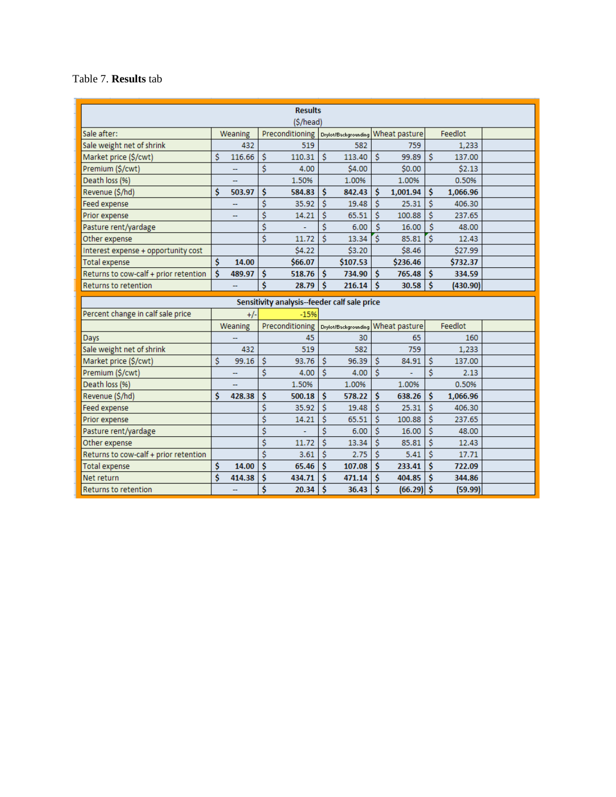#### Table 7. **Results** tab

| <b>Results</b><br>(\$/head)                  |    |         |          |                 |    |                                    |    |               |          |          |  |
|----------------------------------------------|----|---------|----------|-----------------|----|------------------------------------|----|---------------|----------|----------|--|
| Sale after:                                  |    | Weaning |          | Preconditioning |    | Drylot/Backgrounding Wheat pasture |    |               |          | Feedlot  |  |
| Sale weight net of shrink                    |    | 432     |          | 519             |    | 582                                |    | 759           |          | 1,233    |  |
| Market price (\$/cwt)                        | \$ | 116.66  | \$       | 110.31          | Ś  | 113.40                             | Ŝ  | 99.89         | Ŝ        | 137.00   |  |
| Premium (\$/cwt)                             |    |         | \$       | 4.00            |    | \$4.00                             |    | \$0.00        |          | \$2.13   |  |
| Death loss (%)                               |    | --      |          | 1.50%           |    | 1.00%                              |    | 1.00%         |          | 0.50%    |  |
| Revenue (\$/hd)                              | \$ | 503.97  | \$       | 584.83          | Ś  | 842.43                             | Ś  | 1,001.94      | Ś        | 1,066.96 |  |
| Feed expense                                 |    |         | \$       | 35.92           | Ś  | 19.48                              | Ś  | 25.31         | Ŝ        | 406.30   |  |
| Prior expense                                |    |         | \$       | 14.21           | Ś  | 65.51                              | Ś  | 100.88        | Ŝ        | 237.65   |  |
| Pasture rent/yardage                         |    |         | \$       |                 | \$ | 6.00                               | \$ | 16.00         | \$       | 48.00    |  |
| Other expense                                |    |         | \$       | 11.72           | Ś  | 13.34                              | Ś  | 85.81         | 'ś       | 12.43    |  |
| Interest expense + opportunity cost          |    |         |          | \$4.22          |    | \$3.20                             |    | \$8.46        |          | \$27.99  |  |
| <b>Total expense</b>                         | \$ | 14.00   |          | \$66.07         |    | \$107.53                           |    | \$236.46      |          | \$732.37 |  |
| Returns to cow-calf + prior retention        | Ś  | 489.97  | \$       | 518.76          | Ś  | 734.90                             | Ŝ  | 765.48        | Ŝ        | 334.59   |  |
| <b>Returns to retention</b>                  |    |         | \$       | 28.79           | Ś  | 216.14                             | Ŝ  | 30.58         | -Ś       | (430.90) |  |
| Sensitivity analysis--feeder calf sale price |    |         |          |                 |    |                                    |    |               |          |          |  |
|                                              |    |         |          |                 |    |                                    |    |               |          |          |  |
| Percent change in calf sale price            |    | $+/-$   |          | $-15%$          |    |                                    |    |               |          |          |  |
|                                              |    | Weaning |          | Preconditioning |    | Drylot/Backgrounding               |    | Wheat pasture |          | Feedlot  |  |
| Days                                         |    |         |          | 45              |    | 30                                 |    | 65            |          | 160      |  |
| Sale weight net of shrink                    |    | 432     |          | 519             |    | 582                                |    | 759           |          | 1,233    |  |
| Market price (\$/cwt)                        | \$ | 99.16   | Ś        | 93.76           | Ś  | 96.39                              | Ś  | 84.91         | Ŝ        | 137.00   |  |
| Premium (\$/cwt)                             |    |         | \$       | 4.00            | Ś  | 4.00                               | Ŝ  |               | Ś        | 2.13     |  |
| Death loss (%)                               |    |         |          | 1.50%           |    | 1.00%                              |    | 1.00%         |          | 0.50%    |  |
| Revenue (\$/hd)                              | \$ | 428.38  | \$       | 500.18          | Ś  | 578.22                             | \$ | 638.26        | \$       | 1,066.96 |  |
| Feed expense                                 |    |         | \$       | 35.92           | Ś  | 19.48                              | \$ | 25.31         | \$       | 406.30   |  |
| Prior expense                                |    |         | \$       | 14.21           | Ś  | 65.51                              | Ś  | 100.88        | Ś        | 237.65   |  |
| Pasture rent/vardage                         |    |         | \$       |                 | Ś  | 6.00                               | Ś  | 16.00         | Ś        | 48.00    |  |
| Other expense                                |    |         | \$       | 11.72           | \$ | 13.34                              | Ś  | 85.81         | Ś        | 12.43    |  |
| Returns to cow-calf + prior retention        |    |         | \$       | 3.61            | \$ | 2.75                               | \$ | 5.41          | \$       | 17.71    |  |
| <b>Total expense</b>                         | \$ | 14.00   | \$       | 65.46           | \$ | 107.08                             | Ś  | 233.41        | \$       | 722.09   |  |
| Net return                                   | Ś  | 414.38  | \$<br>\$ | 434.71          | Ś  | 471.14<br>36.43                    | Ś  | 404.85        | Ś<br>-\$ | 344.86   |  |